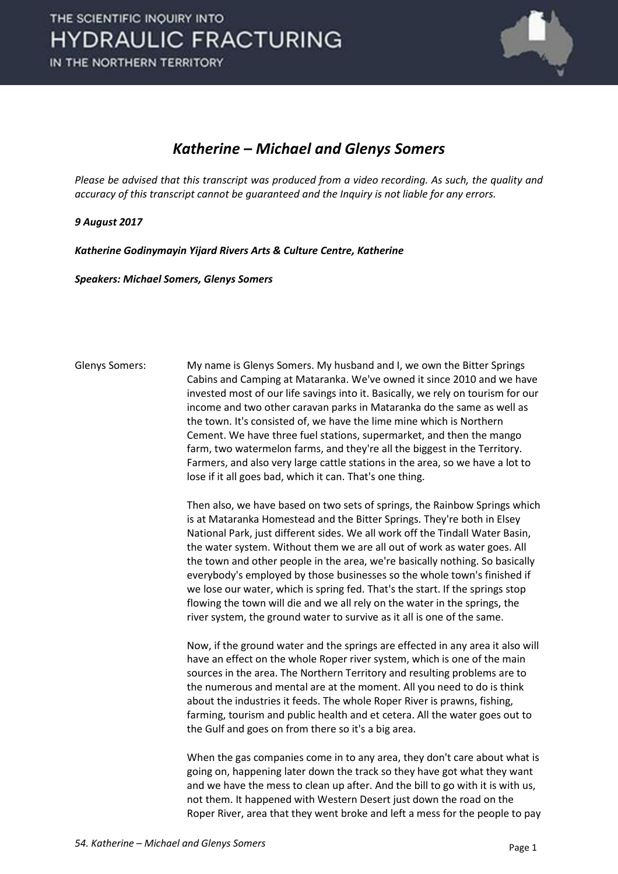

#### *Katherine – Michael and Glenys Somers*

*Please be advised that this transcript was produced from a video recording. As such, the quality and accuracy of this transcript cannot be guaranteed and the Inquiry is not liable for any errors.*

#### *9 August 2017*

*Katherine Godinymayin Yijard Rivers Arts & Culture Centre, Katherine* 

*Speakers: Michael Somers, Glenys Somers* 

Glenys Somers: My name is Glenys Somers. My husband and I, we own the Bitter Springs Cabins and Camping at Mataranka. We've owned it since 2010 and we have invested most of our life savings into it. Basically, we rely on tourism for our income and two other caravan parks in Mataranka do the same as well as the town. It's consisted of, we have the lime mine which is Northern Cement. We have three fuel stations, supermarket, and then the mango farm, two watermelon farms, and they're all the biggest in the Territory. Farmers, and also very large cattle stations in the area, so we have a lot to lose if it all goes bad, which it can. That's one thing.

> Then also, we have based on two sets of springs, the Rainbow Springs which is at Mataranka Homestead and the Bitter Springs. They're both in Elsey National Park, just different sides. We all work off the Tindall Water Basin, the water system. Without them we are all out of work as water goes. All the town and other people in the area, we're basically nothing. So basically everybody's employed by those businesses so the whole town's finished if we lose our water, which is spring fed. That's the start. If the springs stop flowing the town will die and we all rely on the water in the springs, the river system, the ground water to survive as it all is one of the same.

> Now, if the ground water and the springs are effected in any area it also will have an effect on the whole Roper river system, which is one of the main sources in the area. The Northern Territory and resulting problems are to the numerous and mental are at the moment. All you need to do is think about the industries it feeds. The whole Roper River is prawns, fishing, farming, tourism and public health and et cetera. All the water goes out to the Gulf and goes on from there so it's a big area.

> When the gas companies come in to any area, they don't care about what is going on, happening later down the track so they have got what they want and we have the mess to clean up after. And the bill to go with it is with us, not them. It happened with Western Desert just down the road on the Roper River, area that they went broke and left a mess for the people to pay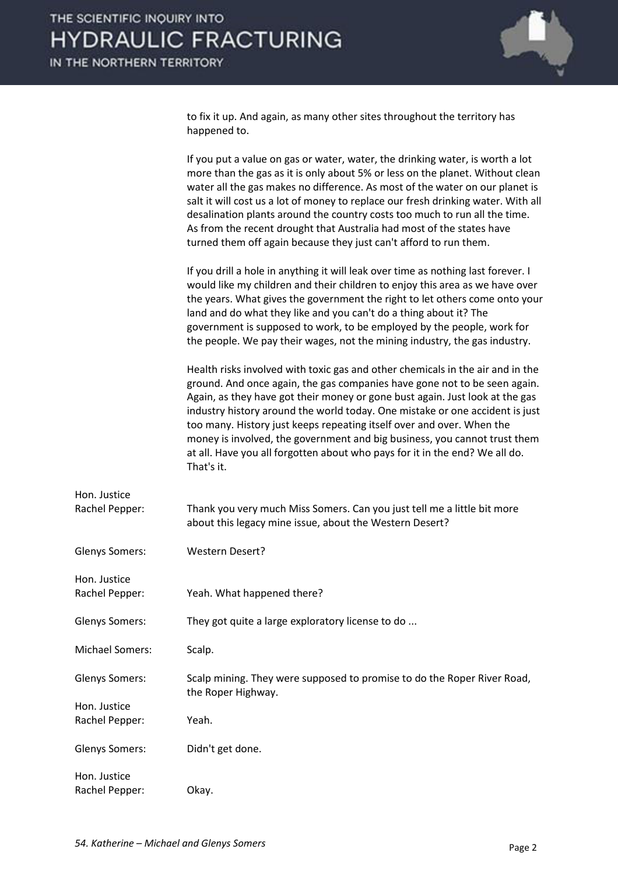

to fix it up. And again, as many other sites throughout the territory has happened to.

|                                | If you put a value on gas or water, water, the drinking water, is worth a lot<br>more than the gas as it is only about 5% or less on the planet. Without clean<br>water all the gas makes no difference. As most of the water on our planet is<br>salt it will cost us a lot of money to replace our fresh drinking water. With all<br>desalination plants around the country costs too much to run all the time.<br>As from the recent drought that Australia had most of the states have<br>turned them off again because they just can't afford to run them.                |
|--------------------------------|--------------------------------------------------------------------------------------------------------------------------------------------------------------------------------------------------------------------------------------------------------------------------------------------------------------------------------------------------------------------------------------------------------------------------------------------------------------------------------------------------------------------------------------------------------------------------------|
|                                | If you drill a hole in anything it will leak over time as nothing last forever. I<br>would like my children and their children to enjoy this area as we have over<br>the years. What gives the government the right to let others come onto your<br>land and do what they like and you can't do a thing about it? The<br>government is supposed to work, to be employed by the people, work for<br>the people. We pay their wages, not the mining industry, the gas industry.                                                                                                  |
|                                | Health risks involved with toxic gas and other chemicals in the air and in the<br>ground. And once again, the gas companies have gone not to be seen again.<br>Again, as they have got their money or gone bust again. Just look at the gas<br>industry history around the world today. One mistake or one accident is just<br>too many. History just keeps repeating itself over and over. When the<br>money is involved, the government and big business, you cannot trust them<br>at all. Have you all forgotten about who pays for it in the end? We all do.<br>That's it. |
| Hon. Justice<br>Rachel Pepper: | Thank you very much Miss Somers. Can you just tell me a little bit more<br>about this legacy mine issue, about the Western Desert?                                                                                                                                                                                                                                                                                                                                                                                                                                             |
| Glenys Somers:                 | <b>Western Desert?</b>                                                                                                                                                                                                                                                                                                                                                                                                                                                                                                                                                         |
| Hon. Justice<br>Rachel Pepper: | Yeah. What happened there?                                                                                                                                                                                                                                                                                                                                                                                                                                                                                                                                                     |
| Glenys Somers:                 | They got quite a large exploratory license to do                                                                                                                                                                                                                                                                                                                                                                                                                                                                                                                               |
| <b>Michael Somers:</b>         | Scalp.                                                                                                                                                                                                                                                                                                                                                                                                                                                                                                                                                                         |
| Glenys Somers:                 | Scalp mining. They were supposed to promise to do the Roper River Road,<br>the Roper Highway.                                                                                                                                                                                                                                                                                                                                                                                                                                                                                  |
| Hon. Justice<br>Rachel Pepper: | Yeah.                                                                                                                                                                                                                                                                                                                                                                                                                                                                                                                                                                          |
| Glenys Somers:                 | Didn't get done.                                                                                                                                                                                                                                                                                                                                                                                                                                                                                                                                                               |
| Hon. Justice<br>Rachel Pepper: | Okay.                                                                                                                                                                                                                                                                                                                                                                                                                                                                                                                                                                          |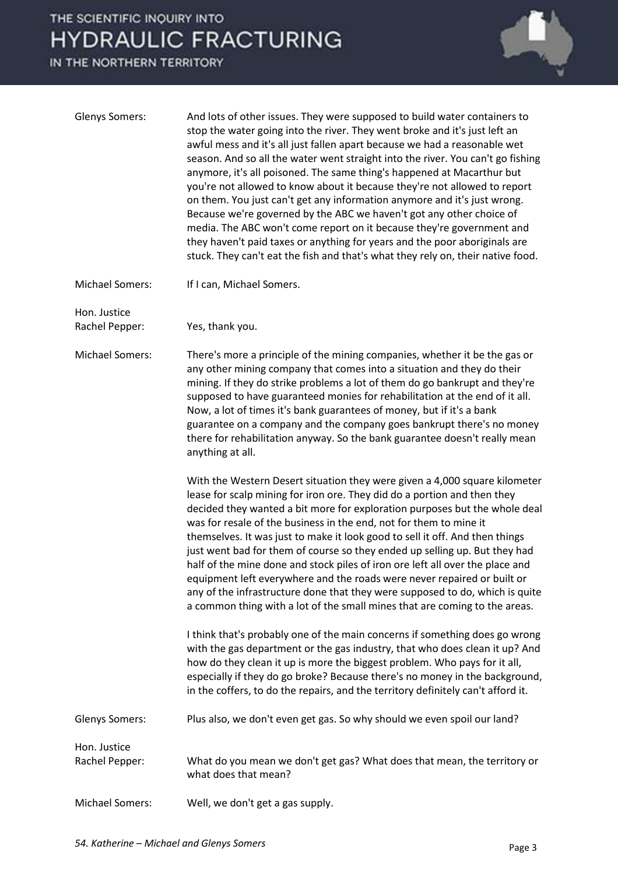

| <b>Glenys Somers:</b>          | And lots of other issues. They were supposed to build water containers to<br>stop the water going into the river. They went broke and it's just left an<br>awful mess and it's all just fallen apart because we had a reasonable wet<br>season. And so all the water went straight into the river. You can't go fishing<br>anymore, it's all poisoned. The same thing's happened at Macarthur but<br>you're not allowed to know about it because they're not allowed to report<br>on them. You just can't get any information anymore and it's just wrong.<br>Because we're governed by the ABC we haven't got any other choice of<br>media. The ABC won't come report on it because they're government and<br>they haven't paid taxes or anything for years and the poor aboriginals are<br>stuck. They can't eat the fish and that's what they rely on, their native food. |
|--------------------------------|------------------------------------------------------------------------------------------------------------------------------------------------------------------------------------------------------------------------------------------------------------------------------------------------------------------------------------------------------------------------------------------------------------------------------------------------------------------------------------------------------------------------------------------------------------------------------------------------------------------------------------------------------------------------------------------------------------------------------------------------------------------------------------------------------------------------------------------------------------------------------|
| <b>Michael Somers:</b>         | If I can, Michael Somers.                                                                                                                                                                                                                                                                                                                                                                                                                                                                                                                                                                                                                                                                                                                                                                                                                                                    |
| Hon. Justice<br>Rachel Pepper: | Yes, thank you.                                                                                                                                                                                                                                                                                                                                                                                                                                                                                                                                                                                                                                                                                                                                                                                                                                                              |
| <b>Michael Somers:</b>         | There's more a principle of the mining companies, whether it be the gas or<br>any other mining company that comes into a situation and they do their<br>mining. If they do strike problems a lot of them do go bankrupt and they're<br>supposed to have guaranteed monies for rehabilitation at the end of it all.<br>Now, a lot of times it's bank guarantees of money, but if it's a bank<br>guarantee on a company and the company goes bankrupt there's no money<br>there for rehabilitation anyway. So the bank guarantee doesn't really mean<br>anything at all.                                                                                                                                                                                                                                                                                                       |
|                                | With the Western Desert situation they were given a 4,000 square kilometer<br>lease for scalp mining for iron ore. They did do a portion and then they<br>decided they wanted a bit more for exploration purposes but the whole deal<br>was for resale of the business in the end, not for them to mine it<br>themselves. It was just to make it look good to sell it off. And then things<br>just went bad for them of course so they ended up selling up. But they had<br>half of the mine done and stock piles of iron ore left all over the place and<br>equipment left everywhere and the roads were never repaired or built or<br>any of the infrastructure done that they were supposed to do, which is quite<br>a common thing with a lot of the small mines that are coming to the areas.                                                                           |
|                                | I think that's probably one of the main concerns if something does go wrong<br>with the gas department or the gas industry, that who does clean it up? And<br>how do they clean it up is more the biggest problem. Who pays for it all,<br>especially if they do go broke? Because there's no money in the background,<br>in the coffers, to do the repairs, and the territory definitely can't afford it.                                                                                                                                                                                                                                                                                                                                                                                                                                                                   |
| <b>Glenys Somers:</b>          | Plus also, we don't even get gas. So why should we even spoil our land?                                                                                                                                                                                                                                                                                                                                                                                                                                                                                                                                                                                                                                                                                                                                                                                                      |
| Hon. Justice<br>Rachel Pepper: | What do you mean we don't get gas? What does that mean, the territory or<br>what does that mean?                                                                                                                                                                                                                                                                                                                                                                                                                                                                                                                                                                                                                                                                                                                                                                             |
| <b>Michael Somers:</b>         | Well, we don't get a gas supply.                                                                                                                                                                                                                                                                                                                                                                                                                                                                                                                                                                                                                                                                                                                                                                                                                                             |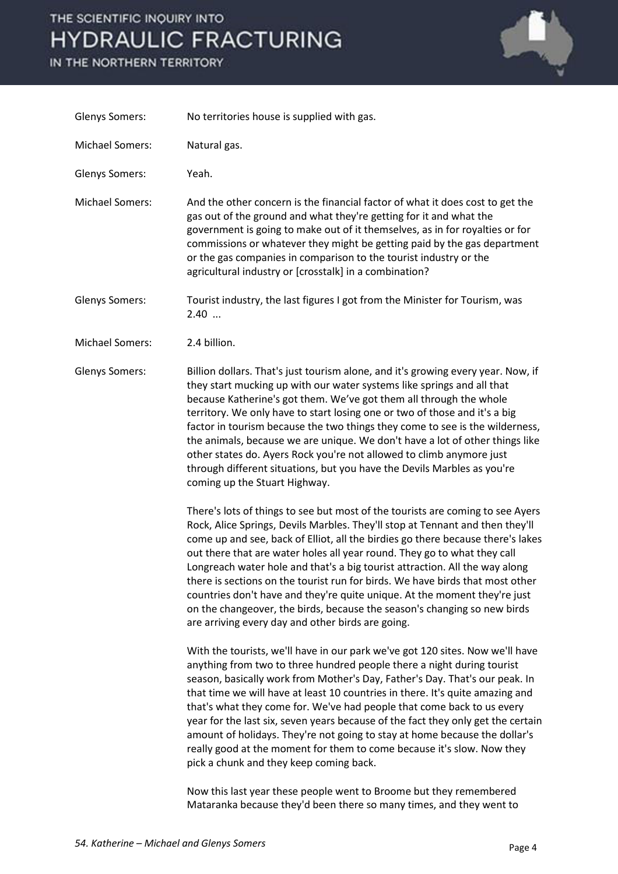IN THE NORTHERN TERRITORY



| <b>Glenys Somers:</b>  | No territories house is supplied with gas.                                                                                                                                                                                                                                                                                                                                                                                                                                                                                                                                                                                                                                                                                                                                                                                                                                                                                                                                                                                                                                                                                                                                                                                                                                                                                                                                                                                                                                     |
|------------------------|--------------------------------------------------------------------------------------------------------------------------------------------------------------------------------------------------------------------------------------------------------------------------------------------------------------------------------------------------------------------------------------------------------------------------------------------------------------------------------------------------------------------------------------------------------------------------------------------------------------------------------------------------------------------------------------------------------------------------------------------------------------------------------------------------------------------------------------------------------------------------------------------------------------------------------------------------------------------------------------------------------------------------------------------------------------------------------------------------------------------------------------------------------------------------------------------------------------------------------------------------------------------------------------------------------------------------------------------------------------------------------------------------------------------------------------------------------------------------------|
| <b>Michael Somers:</b> | Natural gas.                                                                                                                                                                                                                                                                                                                                                                                                                                                                                                                                                                                                                                                                                                                                                                                                                                                                                                                                                                                                                                                                                                                                                                                                                                                                                                                                                                                                                                                                   |
| <b>Glenys Somers:</b>  | Yeah.                                                                                                                                                                                                                                                                                                                                                                                                                                                                                                                                                                                                                                                                                                                                                                                                                                                                                                                                                                                                                                                                                                                                                                                                                                                                                                                                                                                                                                                                          |
| <b>Michael Somers:</b> | And the other concern is the financial factor of what it does cost to get the<br>gas out of the ground and what they're getting for it and what the<br>government is going to make out of it themselves, as in for royalties or for<br>commissions or whatever they might be getting paid by the gas department<br>or the gas companies in comparison to the tourist industry or the<br>agricultural industry or [crosstalk] in a combination?                                                                                                                                                                                                                                                                                                                                                                                                                                                                                                                                                                                                                                                                                                                                                                                                                                                                                                                                                                                                                                 |
| <b>Glenys Somers:</b>  | Tourist industry, the last figures I got from the Minister for Tourism, was<br>2.40                                                                                                                                                                                                                                                                                                                                                                                                                                                                                                                                                                                                                                                                                                                                                                                                                                                                                                                                                                                                                                                                                                                                                                                                                                                                                                                                                                                            |
| <b>Michael Somers:</b> | 2.4 billion.                                                                                                                                                                                                                                                                                                                                                                                                                                                                                                                                                                                                                                                                                                                                                                                                                                                                                                                                                                                                                                                                                                                                                                                                                                                                                                                                                                                                                                                                   |
| <b>Glenys Somers:</b>  | Billion dollars. That's just tourism alone, and it's growing every year. Now, if<br>they start mucking up with our water systems like springs and all that<br>because Katherine's got them. We've got them all through the whole<br>territory. We only have to start losing one or two of those and it's a big<br>factor in tourism because the two things they come to see is the wilderness,<br>the animals, because we are unique. We don't have a lot of other things like<br>other states do. Ayers Rock you're not allowed to climb anymore just<br>through different situations, but you have the Devils Marbles as you're<br>coming up the Stuart Highway.                                                                                                                                                                                                                                                                                                                                                                                                                                                                                                                                                                                                                                                                                                                                                                                                             |
|                        | There's lots of things to see but most of the tourists are coming to see Ayers<br>Rock, Alice Springs, Devils Marbles. They'll stop at Tennant and then they'll<br>come up and see, back of Elliot, all the birdies go there because there's lakes<br>out there that are water holes all year round. They go to what they call<br>Longreach water hole and that's a big tourist attraction. All the way along<br>there is sections on the tourist run for birds. We have birds that most other<br>countries don't have and they're quite unique. At the moment they're just<br>on the changeover, the birds, because the season's changing so new birds<br>are arriving every day and other birds are going.<br>With the tourists, we'll have in our park we've got 120 sites. Now we'll have<br>anything from two to three hundred people there a night during tourist<br>season, basically work from Mother's Day, Father's Day. That's our peak. In<br>that time we will have at least 10 countries in there. It's quite amazing and<br>that's what they come for. We've had people that come back to us every<br>year for the last six, seven years because of the fact they only get the certain<br>amount of holidays. They're not going to stay at home because the dollar's<br>really good at the moment for them to come because it's slow. Now they<br>pick a chunk and they keep coming back.<br>Now this last year these people went to Broome but they remembered |

Mataranka because they'd been there so many times, and they went to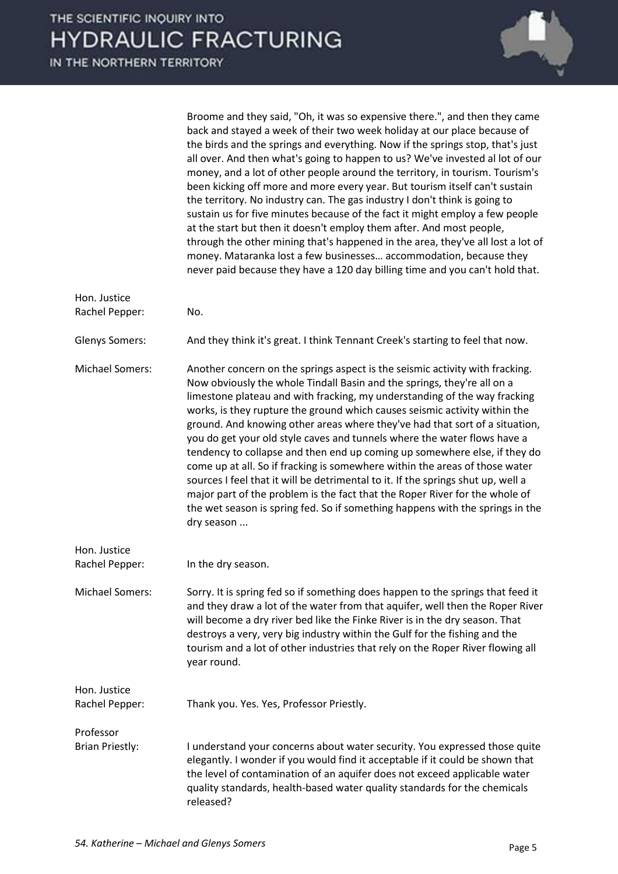Broome and they said, "Oh, it was so expensive there.", and then they came back and stayed a week of their two week holiday at our place because of the birds and the springs and everything. Now if the springs stop, that's just all over. And then what's going to happen to us? We've invested al lot of our money, and a lot of other people around the territory, in tourism. Tourism's been kicking off more and more every year. But tourism itself can't sustain the territory. No industry can. The gas industry I don't think is going to sustain us for five minutes because of the fact it might employ a few people at the start but then it doesn't employ them after. And most people, through the other mining that's happened in the area, they've all lost a lot of money. Mataranka lost a few businesses... accommodation, because they never paid because they have a 120 day billing time and you can't hold that.

| Hon. Justice<br>Rachel Pepper:      | No.                                                                                                                                                                                                                                                                                                                                                                                                                                                                                                                                                                                                                                                                                                                                                                                                                                                                                                         |  |
|-------------------------------------|-------------------------------------------------------------------------------------------------------------------------------------------------------------------------------------------------------------------------------------------------------------------------------------------------------------------------------------------------------------------------------------------------------------------------------------------------------------------------------------------------------------------------------------------------------------------------------------------------------------------------------------------------------------------------------------------------------------------------------------------------------------------------------------------------------------------------------------------------------------------------------------------------------------|--|
| <b>Glenys Somers:</b>               | And they think it's great. I think Tennant Creek's starting to feel that now.                                                                                                                                                                                                                                                                                                                                                                                                                                                                                                                                                                                                                                                                                                                                                                                                                               |  |
| <b>Michael Somers:</b>              | Another concern on the springs aspect is the seismic activity with fracking.<br>Now obviously the whole Tindall Basin and the springs, they're all on a<br>limestone plateau and with fracking, my understanding of the way fracking<br>works, is they rupture the ground which causes seismic activity within the<br>ground. And knowing other areas where they've had that sort of a situation,<br>you do get your old style caves and tunnels where the water flows have a<br>tendency to collapse and then end up coming up somewhere else, if they do<br>come up at all. So if fracking is somewhere within the areas of those water<br>sources I feel that it will be detrimental to it. If the springs shut up, well a<br>major part of the problem is the fact that the Roper River for the whole of<br>the wet season is spring fed. So if something happens with the springs in the<br>dry season |  |
| Hon. Justice<br>Rachel Pepper:      | In the dry season.                                                                                                                                                                                                                                                                                                                                                                                                                                                                                                                                                                                                                                                                                                                                                                                                                                                                                          |  |
| <b>Michael Somers:</b>              | Sorry. It is spring fed so if something does happen to the springs that feed it<br>and they draw a lot of the water from that aquifer, well then the Roper River<br>will become a dry river bed like the Finke River is in the dry season. That<br>destroys a very, very big industry within the Gulf for the fishing and the<br>tourism and a lot of other industries that rely on the Roper River flowing all<br>year round.                                                                                                                                                                                                                                                                                                                                                                                                                                                                              |  |
| Hon. Justice<br>Rachel Pepper:      | Thank you. Yes. Yes, Professor Priestly.                                                                                                                                                                                                                                                                                                                                                                                                                                                                                                                                                                                                                                                                                                                                                                                                                                                                    |  |
| Professor<br><b>Brian Priestly:</b> | I understand your concerns about water security. You expressed those quite<br>elegantly. I wonder if you would find it acceptable if it could be shown that<br>the level of contamination of an aquifer does not exceed applicable water<br>quality standards, health-based water quality standards for the chemicals<br>released?                                                                                                                                                                                                                                                                                                                                                                                                                                                                                                                                                                          |  |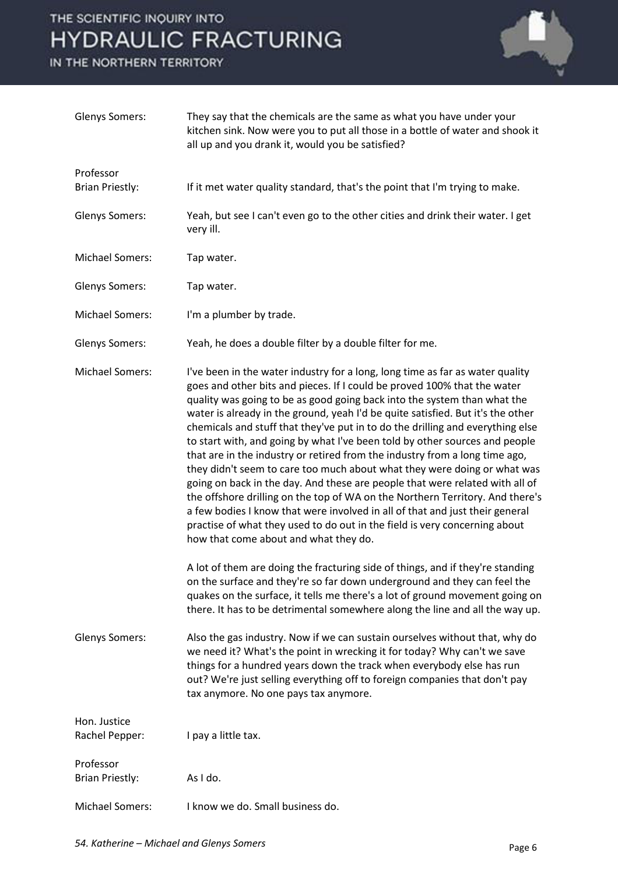

| <b>Glenys Somers:</b>               | They say that the chemicals are the same as what you have under your<br>kitchen sink. Now were you to put all those in a bottle of water and shook it<br>all up and you drank it, would you be satisfied?                                                                                                                                                                                                                                                                                                                                                                                                                                                                                                                                                                                                                                                                                                                                                                                                                                                                                                      |
|-------------------------------------|----------------------------------------------------------------------------------------------------------------------------------------------------------------------------------------------------------------------------------------------------------------------------------------------------------------------------------------------------------------------------------------------------------------------------------------------------------------------------------------------------------------------------------------------------------------------------------------------------------------------------------------------------------------------------------------------------------------------------------------------------------------------------------------------------------------------------------------------------------------------------------------------------------------------------------------------------------------------------------------------------------------------------------------------------------------------------------------------------------------|
| Professor                           |                                                                                                                                                                                                                                                                                                                                                                                                                                                                                                                                                                                                                                                                                                                                                                                                                                                                                                                                                                                                                                                                                                                |
| <b>Brian Priestly:</b>              | If it met water quality standard, that's the point that I'm trying to make.                                                                                                                                                                                                                                                                                                                                                                                                                                                                                                                                                                                                                                                                                                                                                                                                                                                                                                                                                                                                                                    |
| <b>Glenys Somers:</b>               | Yeah, but see I can't even go to the other cities and drink their water. I get<br>very ill.                                                                                                                                                                                                                                                                                                                                                                                                                                                                                                                                                                                                                                                                                                                                                                                                                                                                                                                                                                                                                    |
| <b>Michael Somers:</b>              | Tap water.                                                                                                                                                                                                                                                                                                                                                                                                                                                                                                                                                                                                                                                                                                                                                                                                                                                                                                                                                                                                                                                                                                     |
| <b>Glenys Somers:</b>               | Tap water.                                                                                                                                                                                                                                                                                                                                                                                                                                                                                                                                                                                                                                                                                                                                                                                                                                                                                                                                                                                                                                                                                                     |
| <b>Michael Somers:</b>              | I'm a plumber by trade.                                                                                                                                                                                                                                                                                                                                                                                                                                                                                                                                                                                                                                                                                                                                                                                                                                                                                                                                                                                                                                                                                        |
| <b>Glenys Somers:</b>               | Yeah, he does a double filter by a double filter for me.                                                                                                                                                                                                                                                                                                                                                                                                                                                                                                                                                                                                                                                                                                                                                                                                                                                                                                                                                                                                                                                       |
| <b>Michael Somers:</b>              | I've been in the water industry for a long, long time as far as water quality<br>goes and other bits and pieces. If I could be proved 100% that the water<br>quality was going to be as good going back into the system than what the<br>water is already in the ground, yeah I'd be quite satisfied. But it's the other<br>chemicals and stuff that they've put in to do the drilling and everything else<br>to start with, and going by what I've been told by other sources and people<br>that are in the industry or retired from the industry from a long time ago,<br>they didn't seem to care too much about what they were doing or what was<br>going on back in the day. And these are people that were related with all of<br>the offshore drilling on the top of WA on the Northern Territory. And there's<br>a few bodies I know that were involved in all of that and just their general<br>practise of what they used to do out in the field is very concerning about<br>how that come about and what they do.<br>A lot of them are doing the fracturing side of things, and if they're standing |
|                                     | on the surface and they're so far down underground and they can feel the<br>quakes on the surface, it tells me there's a lot of ground movement going on<br>there. It has to be detrimental somewhere along the line and all the way up.                                                                                                                                                                                                                                                                                                                                                                                                                                                                                                                                                                                                                                                                                                                                                                                                                                                                       |
| <b>Glenys Somers:</b>               | Also the gas industry. Now if we can sustain ourselves without that, why do<br>we need it? What's the point in wrecking it for today? Why can't we save<br>things for a hundred years down the track when everybody else has run<br>out? We're just selling everything off to foreign companies that don't pay<br>tax anymore. No one pays tax anymore.                                                                                                                                                                                                                                                                                                                                                                                                                                                                                                                                                                                                                                                                                                                                                        |
| Hon. Justice<br>Rachel Pepper:      | I pay a little tax.                                                                                                                                                                                                                                                                                                                                                                                                                                                                                                                                                                                                                                                                                                                                                                                                                                                                                                                                                                                                                                                                                            |
| Professor<br><b>Brian Priestly:</b> | As I do.                                                                                                                                                                                                                                                                                                                                                                                                                                                                                                                                                                                                                                                                                                                                                                                                                                                                                                                                                                                                                                                                                                       |
| <b>Michael Somers:</b>              | I know we do. Small business do.                                                                                                                                                                                                                                                                                                                                                                                                                                                                                                                                                                                                                                                                                                                                                                                                                                                                                                                                                                                                                                                                               |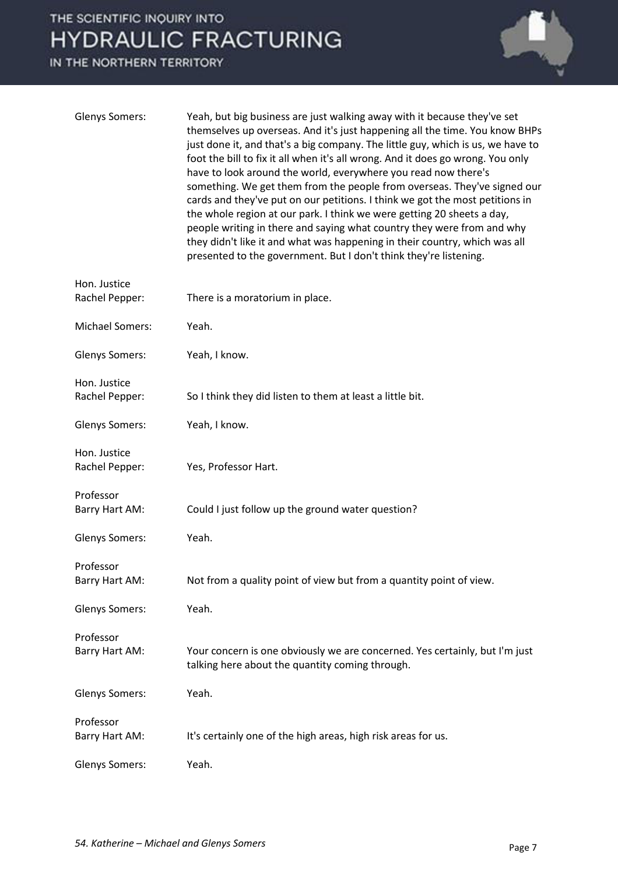

| <b>Glenys Somers:</b>          | Yeah, but big business are just walking away with it because they've set<br>themselves up overseas. And it's just happening all the time. You know BHPs<br>just done it, and that's a big company. The little guy, which is us, we have to<br>foot the bill to fix it all when it's all wrong. And it does go wrong. You only<br>have to look around the world, everywhere you read now there's<br>something. We get them from the people from overseas. They've signed our<br>cards and they've put on our petitions. I think we got the most petitions in<br>the whole region at our park. I think we were getting 20 sheets a day,<br>people writing in there and saying what country they were from and why<br>they didn't like it and what was happening in their country, which was all<br>presented to the government. But I don't think they're listening. |
|--------------------------------|--------------------------------------------------------------------------------------------------------------------------------------------------------------------------------------------------------------------------------------------------------------------------------------------------------------------------------------------------------------------------------------------------------------------------------------------------------------------------------------------------------------------------------------------------------------------------------------------------------------------------------------------------------------------------------------------------------------------------------------------------------------------------------------------------------------------------------------------------------------------|
| Hon. Justice<br>Rachel Pepper: | There is a moratorium in place.                                                                                                                                                                                                                                                                                                                                                                                                                                                                                                                                                                                                                                                                                                                                                                                                                                    |
| <b>Michael Somers:</b>         | Yeah.                                                                                                                                                                                                                                                                                                                                                                                                                                                                                                                                                                                                                                                                                                                                                                                                                                                              |
| <b>Glenys Somers:</b>          | Yeah, I know.                                                                                                                                                                                                                                                                                                                                                                                                                                                                                                                                                                                                                                                                                                                                                                                                                                                      |
| Hon. Justice<br>Rachel Pepper: | So I think they did listen to them at least a little bit.                                                                                                                                                                                                                                                                                                                                                                                                                                                                                                                                                                                                                                                                                                                                                                                                          |
| <b>Glenys Somers:</b>          | Yeah, I know.                                                                                                                                                                                                                                                                                                                                                                                                                                                                                                                                                                                                                                                                                                                                                                                                                                                      |
| Hon. Justice<br>Rachel Pepper: | Yes, Professor Hart.                                                                                                                                                                                                                                                                                                                                                                                                                                                                                                                                                                                                                                                                                                                                                                                                                                               |
| Professor<br>Barry Hart AM:    | Could I just follow up the ground water question?                                                                                                                                                                                                                                                                                                                                                                                                                                                                                                                                                                                                                                                                                                                                                                                                                  |
| <b>Glenys Somers:</b>          | Yeah.                                                                                                                                                                                                                                                                                                                                                                                                                                                                                                                                                                                                                                                                                                                                                                                                                                                              |
| Professor<br>Barry Hart AM:    | Not from a quality point of view but from a quantity point of view.                                                                                                                                                                                                                                                                                                                                                                                                                                                                                                                                                                                                                                                                                                                                                                                                |
| <b>Glenys Somers:</b>          | Yeah.                                                                                                                                                                                                                                                                                                                                                                                                                                                                                                                                                                                                                                                                                                                                                                                                                                                              |
| Professor<br>Barry Hart AM:    | Your concern is one obviously we are concerned. Yes certainly, but I'm just<br>talking here about the quantity coming through.                                                                                                                                                                                                                                                                                                                                                                                                                                                                                                                                                                                                                                                                                                                                     |
| <b>Glenys Somers:</b>          | Yeah.                                                                                                                                                                                                                                                                                                                                                                                                                                                                                                                                                                                                                                                                                                                                                                                                                                                              |
| Professor<br>Barry Hart AM:    | It's certainly one of the high areas, high risk areas for us.                                                                                                                                                                                                                                                                                                                                                                                                                                                                                                                                                                                                                                                                                                                                                                                                      |
| <b>Glenys Somers:</b>          | Yeah.                                                                                                                                                                                                                                                                                                                                                                                                                                                                                                                                                                                                                                                                                                                                                                                                                                                              |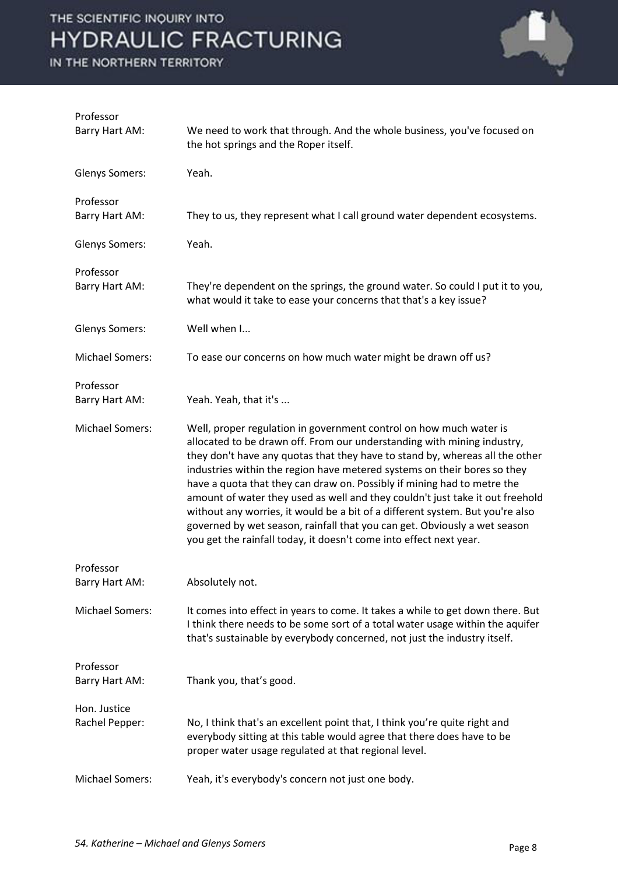

| Professor<br>Barry Hart AM:    | We need to work that through. And the whole business, you've focused on<br>the hot springs and the Roper itself.                                                                                                                                                                                                                                                                                                                                                                                                                                                                                                                                                                                          |
|--------------------------------|-----------------------------------------------------------------------------------------------------------------------------------------------------------------------------------------------------------------------------------------------------------------------------------------------------------------------------------------------------------------------------------------------------------------------------------------------------------------------------------------------------------------------------------------------------------------------------------------------------------------------------------------------------------------------------------------------------------|
| <b>Glenys Somers:</b>          | Yeah.                                                                                                                                                                                                                                                                                                                                                                                                                                                                                                                                                                                                                                                                                                     |
| Professor<br>Barry Hart AM:    | They to us, they represent what I call ground water dependent ecosystems.                                                                                                                                                                                                                                                                                                                                                                                                                                                                                                                                                                                                                                 |
| <b>Glenys Somers:</b>          | Yeah.                                                                                                                                                                                                                                                                                                                                                                                                                                                                                                                                                                                                                                                                                                     |
| Professor<br>Barry Hart AM:    | They're dependent on the springs, the ground water. So could I put it to you,<br>what would it take to ease your concerns that that's a key issue?                                                                                                                                                                                                                                                                                                                                                                                                                                                                                                                                                        |
| <b>Glenys Somers:</b>          | Well when I                                                                                                                                                                                                                                                                                                                                                                                                                                                                                                                                                                                                                                                                                               |
| <b>Michael Somers:</b>         | To ease our concerns on how much water might be drawn off us?                                                                                                                                                                                                                                                                                                                                                                                                                                                                                                                                                                                                                                             |
| Professor<br>Barry Hart AM:    | Yeah. Yeah, that it's                                                                                                                                                                                                                                                                                                                                                                                                                                                                                                                                                                                                                                                                                     |
| <b>Michael Somers:</b>         | Well, proper regulation in government control on how much water is<br>allocated to be drawn off. From our understanding with mining industry,<br>they don't have any quotas that they have to stand by, whereas all the other<br>industries within the region have metered systems on their bores so they<br>have a quota that they can draw on. Possibly if mining had to metre the<br>amount of water they used as well and they couldn't just take it out freehold<br>without any worries, it would be a bit of a different system. But you're also<br>governed by wet season, rainfall that you can get. Obviously a wet season<br>you get the rainfall today, it doesn't come into effect next year. |
| Professor<br>Barry Hart AM:    | Absolutely not.                                                                                                                                                                                                                                                                                                                                                                                                                                                                                                                                                                                                                                                                                           |
| <b>Michael Somers:</b>         | It comes into effect in years to come. It takes a while to get down there. But<br>I think there needs to be some sort of a total water usage within the aquifer<br>that's sustainable by everybody concerned, not just the industry itself.                                                                                                                                                                                                                                                                                                                                                                                                                                                               |
| Professor<br>Barry Hart AM:    | Thank you, that's good.                                                                                                                                                                                                                                                                                                                                                                                                                                                                                                                                                                                                                                                                                   |
| Hon. Justice<br>Rachel Pepper: | No, I think that's an excellent point that, I think you're quite right and<br>everybody sitting at this table would agree that there does have to be<br>proper water usage regulated at that regional level.                                                                                                                                                                                                                                                                                                                                                                                                                                                                                              |
| <b>Michael Somers:</b>         | Yeah, it's everybody's concern not just one body.                                                                                                                                                                                                                                                                                                                                                                                                                                                                                                                                                                                                                                                         |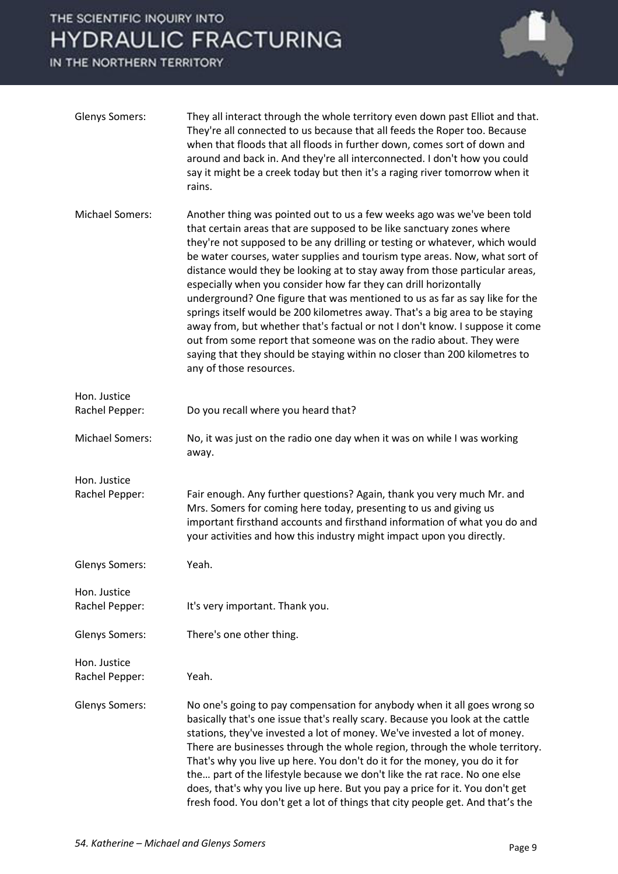

| <b>Glenys Somers:</b>          | They all interact through the whole territory even down past Elliot and that.<br>They're all connected to us because that all feeds the Roper too. Because<br>when that floods that all floods in further down, comes sort of down and<br>around and back in. And they're all interconnected. I don't how you could<br>say it might be a creek today but then it's a raging river tomorrow when it<br>rains.                                                                                                                                                                                                                                                                                                                                                                                                                                                                                    |
|--------------------------------|-------------------------------------------------------------------------------------------------------------------------------------------------------------------------------------------------------------------------------------------------------------------------------------------------------------------------------------------------------------------------------------------------------------------------------------------------------------------------------------------------------------------------------------------------------------------------------------------------------------------------------------------------------------------------------------------------------------------------------------------------------------------------------------------------------------------------------------------------------------------------------------------------|
| <b>Michael Somers:</b>         | Another thing was pointed out to us a few weeks ago was we've been told<br>that certain areas that are supposed to be like sanctuary zones where<br>they're not supposed to be any drilling or testing or whatever, which would<br>be water courses, water supplies and tourism type areas. Now, what sort of<br>distance would they be looking at to stay away from those particular areas,<br>especially when you consider how far they can drill horizontally<br>underground? One figure that was mentioned to us as far as say like for the<br>springs itself would be 200 kilometres away. That's a big area to be staying<br>away from, but whether that's factual or not I don't know. I suppose it come<br>out from some report that someone was on the radio about. They were<br>saying that they should be staying within no closer than 200 kilometres to<br>any of those resources. |
| Hon. Justice                   |                                                                                                                                                                                                                                                                                                                                                                                                                                                                                                                                                                                                                                                                                                                                                                                                                                                                                                 |
| Rachel Pepper:                 | Do you recall where you heard that?                                                                                                                                                                                                                                                                                                                                                                                                                                                                                                                                                                                                                                                                                                                                                                                                                                                             |
| <b>Michael Somers:</b>         | No, it was just on the radio one day when it was on while I was working<br>away.                                                                                                                                                                                                                                                                                                                                                                                                                                                                                                                                                                                                                                                                                                                                                                                                                |
| Hon. Justice                   |                                                                                                                                                                                                                                                                                                                                                                                                                                                                                                                                                                                                                                                                                                                                                                                                                                                                                                 |
| Rachel Pepper:                 | Fair enough. Any further questions? Again, thank you very much Mr. and<br>Mrs. Somers for coming here today, presenting to us and giving us<br>important firsthand accounts and firsthand information of what you do and<br>your activities and how this industry might impact upon you directly.                                                                                                                                                                                                                                                                                                                                                                                                                                                                                                                                                                                               |
| <b>Glenys Somers:</b>          | Yeah.                                                                                                                                                                                                                                                                                                                                                                                                                                                                                                                                                                                                                                                                                                                                                                                                                                                                                           |
| Hon. Justice<br>Rachel Pepper: | It's very important. Thank you.                                                                                                                                                                                                                                                                                                                                                                                                                                                                                                                                                                                                                                                                                                                                                                                                                                                                 |
| <b>Glenys Somers:</b>          | There's one other thing.                                                                                                                                                                                                                                                                                                                                                                                                                                                                                                                                                                                                                                                                                                                                                                                                                                                                        |
| Hon. Justice<br>Rachel Pepper: | Yeah.                                                                                                                                                                                                                                                                                                                                                                                                                                                                                                                                                                                                                                                                                                                                                                                                                                                                                           |
| <b>Glenys Somers:</b>          | No one's going to pay compensation for anybody when it all goes wrong so<br>basically that's one issue that's really scary. Because you look at the cattle<br>stations, they've invested a lot of money. We've invested a lot of money.<br>There are businesses through the whole region, through the whole territory.<br>That's why you live up here. You don't do it for the money, you do it for<br>the part of the lifestyle because we don't like the rat race. No one else<br>does, that's why you live up here. But you pay a price for it. You don't get<br>fresh food. You don't get a lot of things that city people get. And that's the                                                                                                                                                                                                                                              |